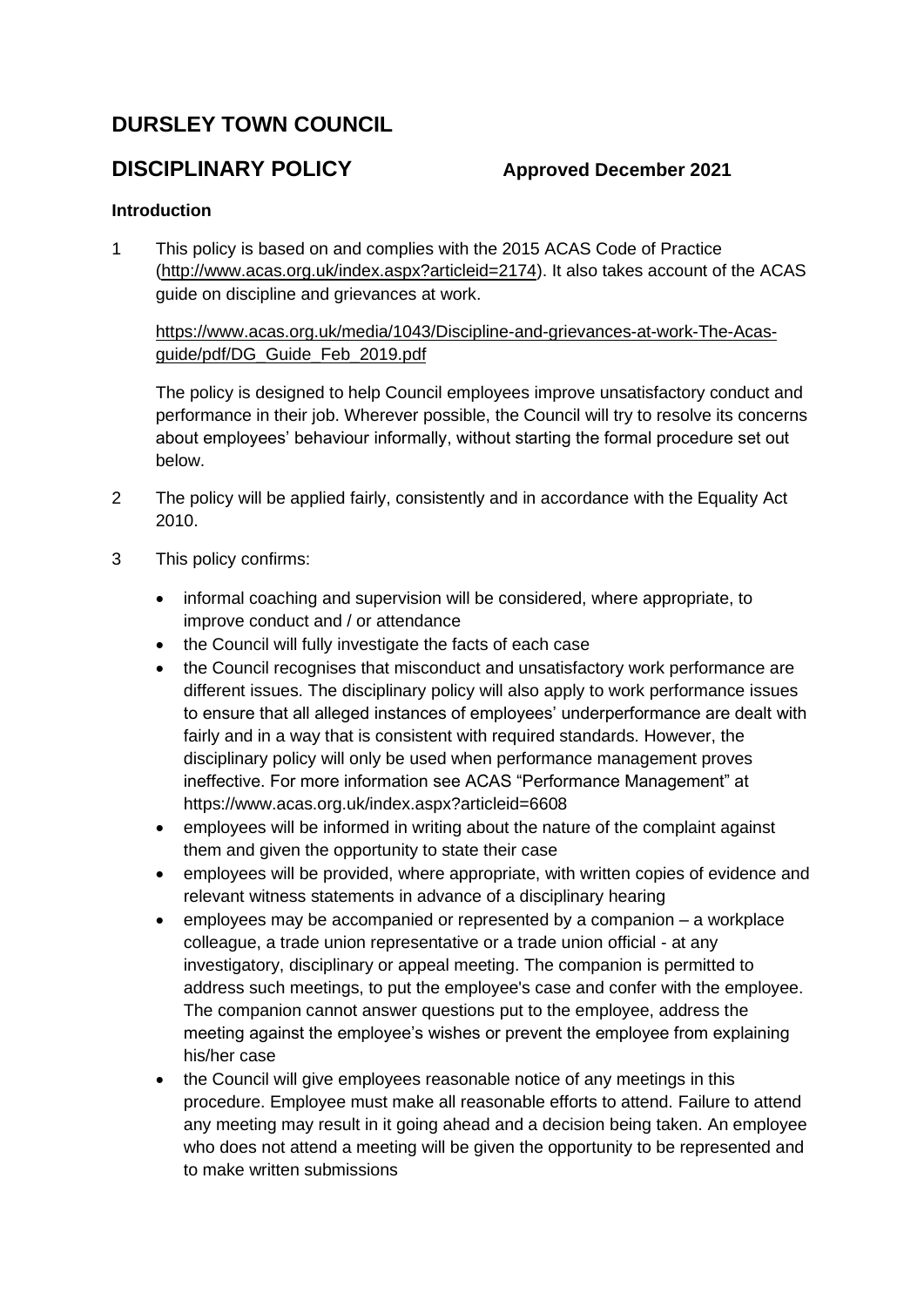# **DURSLEY TOWN COUNCIL**

# **DISCIPLINARY POLICY Approved December 2021**

# **Introduction**

1 This policy is based on and complies with the 2015 ACAS Code of Practice [\(http://www.acas.org.uk/index.aspx?articleid=2174\)](http://www.acas.org.uk/index.aspx?articleid=2174). It also takes account of the ACAS guide on discipline and grievances at work.

[https://www.acas.org.uk/media/1043/Discipline-and-grievances-at-work-The-Acas](https://www.acas.org.uk/media/1043/Discipline-and-grievances-at-work-The-Acas-guide/pdf/DG_Guide_Feb_2019.pdf)[guide/pdf/DG\\_Guide\\_Feb\\_2019.pdf](https://www.acas.org.uk/media/1043/Discipline-and-grievances-at-work-The-Acas-guide/pdf/DG_Guide_Feb_2019.pdf)

The policy is designed to help Council employees improve unsatisfactory conduct and performance in their job. Wherever possible, the Council will try to resolve its concerns about employees' behaviour informally, without starting the formal procedure set out below.

- 2 The policy will be applied fairly, consistently and in accordance with the Equality Act 2010.
- 3 This policy confirms:
	- informal coaching and supervision will be considered, where appropriate, to improve conduct and / or attendance
	- the Council will fully investigate the facts of each case
	- the Council recognises that misconduct and unsatisfactory work performance are different issues. The disciplinary policy will also apply to work performance issues to ensure that all alleged instances of employees' underperformance are dealt with fairly and in a way that is consistent with required standards. However, the disciplinary policy will only be used when performance management proves ineffective. For more information see ACAS "Performance Management" at <https://www.acas.org.uk/index.aspx?articleid=6608>
	- employees will be informed in writing about the nature of the complaint against them and given the opportunity to state their case
	- employees will be provided, where appropriate, with written copies of evidence and relevant witness statements in advance of a disciplinary hearing
	- employees may be accompanied or represented by a companion a workplace colleague, a trade union representative or a trade union official - at any investigatory, disciplinary or appeal meeting. The companion is permitted to address such meetings, to put the employee's case and confer with the employee. The companion cannot answer questions put to the employee, address the meeting against the employee's wishes or prevent the employee from explaining his/her case
	- the Council will give employees reasonable notice of any meetings in this procedure. Employee must make all reasonable efforts to attend. Failure to attend any meeting may result in it going ahead and a decision being taken. An employee who does not attend a meeting will be given the opportunity to be represented and to make written submissions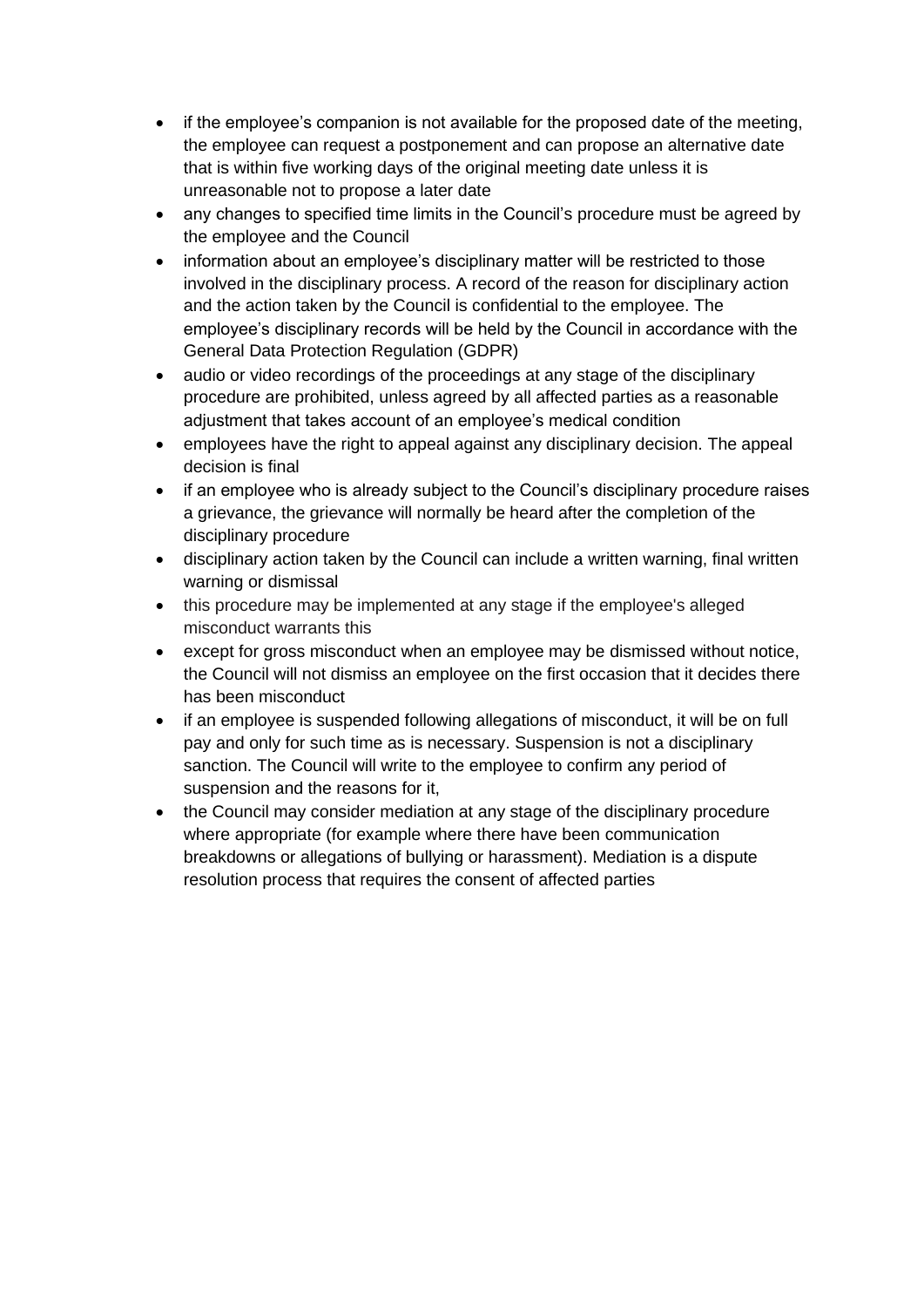- if the employee's companion is not available for the proposed date of the meeting, the employee can request a postponement and can propose an alternative date that is within five working days of the original meeting date unless it is unreasonable not to propose a later date
- any changes to specified time limits in the Council's procedure must be agreed by the employee and the Council
- information about an employee's disciplinary matter will be restricted to those involved in the disciplinary process. A record of the reason for disciplinary action and the action taken by the Council is confidential to the employee. The employee's disciplinary records will be held by the Council in accordance with the General Data Protection Regulation (GDPR)
- audio or video recordings of the proceedings at any stage of the disciplinary procedure are prohibited, unless agreed by all affected parties as a reasonable adjustment that takes account of an employee's medical condition
- employees have the right to appeal against any disciplinary decision. The appeal decision is final
- if an employee who is already subject to the Council's disciplinary procedure raises a grievance, the grievance will normally be heard after the completion of the disciplinary procedure
- disciplinary action taken by the Council can include a written warning, final written warning or dismissal
- this procedure may be implemented at any stage if the employee's alleged misconduct warrants this
- except for gross misconduct when an employee may be dismissed without notice, the Council will not dismiss an employee on the first occasion that it decides there has been misconduct
- if an employee is suspended following allegations of misconduct, it will be on full pay and only for such time as is necessary. Suspension is not a disciplinary sanction. The Council will write to the employee to confirm any period of suspension and the reasons for it,
- the Council may consider mediation at any stage of the disciplinary procedure where appropriate (for example where there have been communication breakdowns or allegations of bullying or harassment). Mediation is a dispute resolution process that requires the consent of affected parties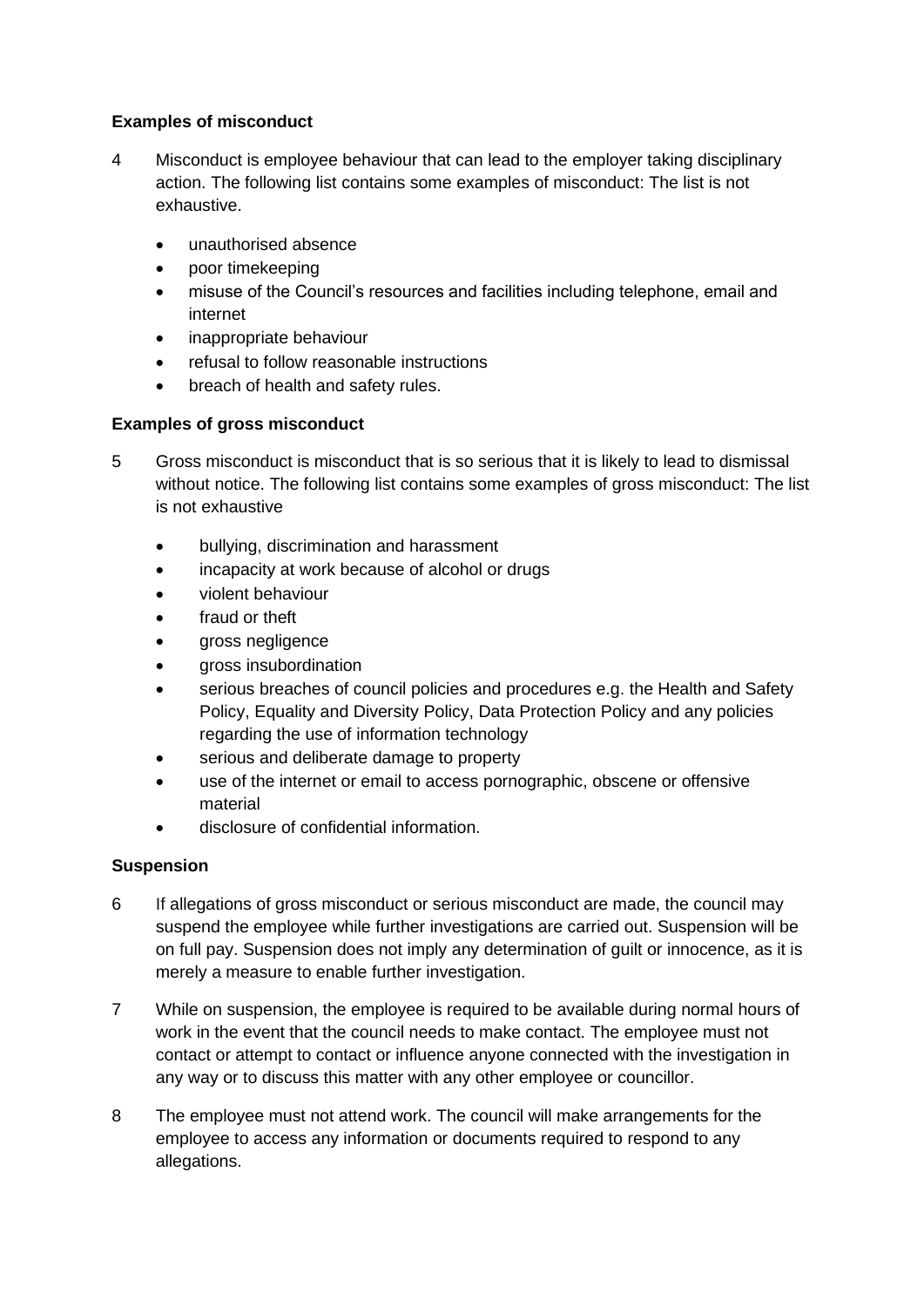# **Examples of misconduct**

- 4 Misconduct is employee behaviour that can lead to the employer taking disciplinary action. The following list contains some examples of misconduct: The list is not exhaustive.
	- unauthorised absence
	- poor timekeeping
	- misuse of the Council's resources and facilities including telephone, email and internet
	- inappropriate behaviour
	- refusal to follow reasonable instructions
	- breach of health and safety rules.

### **Examples of gross misconduct**

- 5 Gross misconduct is misconduct that is so serious that it is likely to lead to dismissal without notice. The following list contains some examples of gross misconduct: The list is not exhaustive
	- bullying, discrimination and harassment
	- incapacity at work because of alcohol or drugs
	- violent behaviour
	- fraud or theft
	- gross negligence
	- gross insubordination
	- serious breaches of council policies and procedures e.g. the Health and Safety Policy, Equality and Diversity Policy, Data Protection Policy and any policies regarding the use of information technology
	- serious and deliberate damage to property
	- use of the internet or email to access pornographic, obscene or offensive material
	- disclosure of confidential information.

#### **Suspension**

- 6 If allegations of gross misconduct or serious misconduct are made, the council may suspend the employee while further investigations are carried out. Suspension will be on full pay. Suspension does not imply any determination of guilt or innocence, as it is merely a measure to enable further investigation.
- 7 While on suspension, the employee is required to be available during normal hours of work in the event that the council needs to make contact. The employee must not contact or attempt to contact or influence anyone connected with the investigation in any way or to discuss this matter with any other employee or councillor.
- 8 The employee must not attend work. The council will make arrangements for the employee to access any information or documents required to respond to any allegations.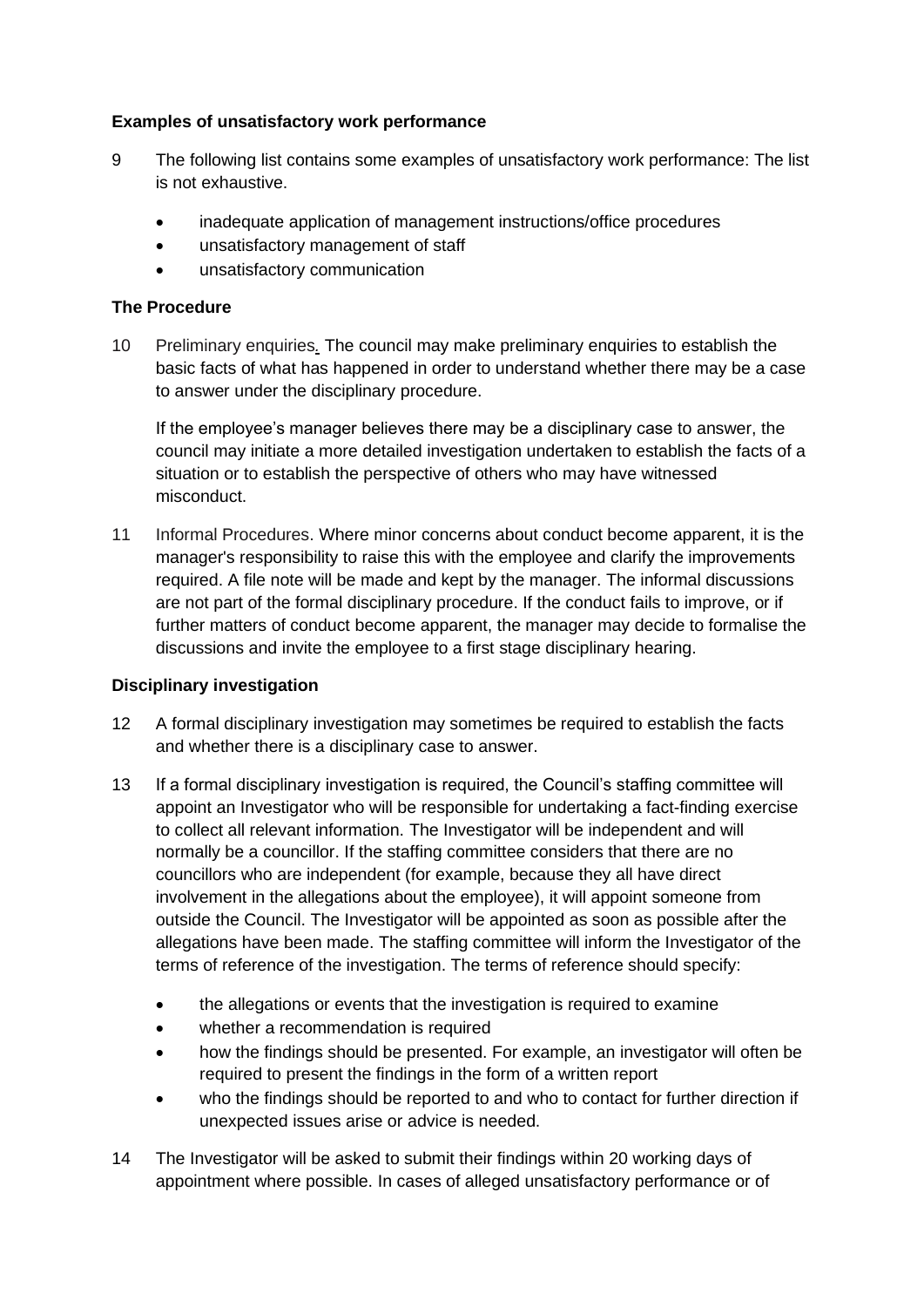### **Examples of unsatisfactory work performance**

- 9 The following list contains some examples of unsatisfactory work performance: The list is not exhaustive.
	- inadequate application of management instructions/office procedures
	- unsatisfactory management of staff
	- unsatisfactory communication

#### **The Procedure**

10 Preliminary enquiries*.* The council may make preliminary enquiries to establish the basic facts of what has happened in order to understand whether there may be a case to answer under the disciplinary procedure.

If the employee's manager believes there may be a disciplinary case to answer, the council may initiate a more detailed investigation undertaken to establish the facts of a situation or to establish the perspective of others who may have witnessed misconduct.

11 Informal Procedures. Where minor concerns about conduct become apparent, it is the manager's responsibility to raise this with the employee and clarify the improvements required. A file note will be made and kept by the manager. The informal discussions are not part of the formal disciplinary procedure. If the conduct fails to improve, or if further matters of conduct become apparent, the manager may decide to formalise the discussions and invite the employee to a first stage disciplinary hearing.

#### **Disciplinary investigation**

- 12 A formal disciplinary investigation may sometimes be required to establish the facts and whether there is a disciplinary case to answer.
- 13 If a formal disciplinary investigation is required, the Council's staffing committee will appoint an Investigator who will be responsible for undertaking a fact-finding exercise to collect all relevant information. The Investigator will be independent and will normally be a councillor. If the staffing committee considers that there are no councillors who are independent (for example, because they all have direct involvement in the allegations about the employee), it will appoint someone from outside the Council. The Investigator will be appointed as soon as possible after the allegations have been made. The staffing committee will inform the Investigator of the terms of reference of the investigation. The terms of reference should specify:
	- the allegations or events that the investigation is required to examine
	- whether a recommendation is required
	- how the findings should be presented. For example, an investigator will often be required to present the findings in the form of a written report
	- who the findings should be reported to and who to contact for further direction if unexpected issues arise or advice is needed.
- 14 The Investigator will be asked to submit their findings within 20 working days of appointment where possible. In cases of alleged unsatisfactory performance or of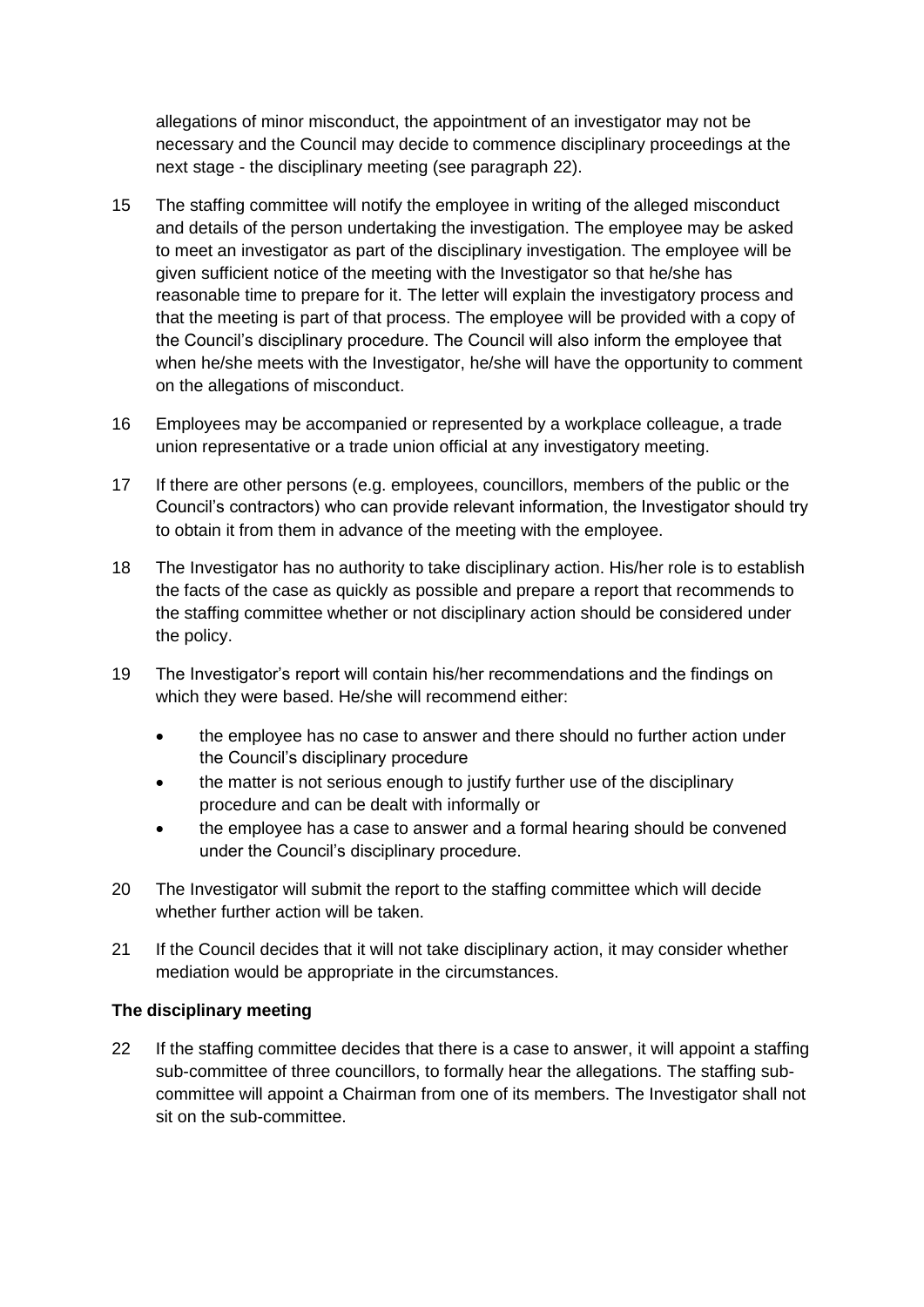allegations of minor misconduct, the appointment of an investigator may not be necessary and the Council may decide to commence disciplinary proceedings at the next stage - the disciplinary meeting (see paragraph 22).

- 15 The staffing committee will notify the employee in writing of the alleged misconduct and details of the person undertaking the investigation. The employee may be asked to meet an investigator as part of the disciplinary investigation. The employee will be given sufficient notice of the meeting with the Investigator so that he/she has reasonable time to prepare for it. The letter will explain the investigatory process and that the meeting is part of that process. The employee will be provided with a copy of the Council's disciplinary procedure. The Council will also inform the employee that when he/she meets with the Investigator, he/she will have the opportunity to comment on the allegations of misconduct.
- 16 Employees may be accompanied or represented by a workplace colleague, a trade union representative or a trade union official at any investigatory meeting.
- 17 If there are other persons (e.g. employees, councillors, members of the public or the Council's contractors) who can provide relevant information, the Investigator should try to obtain it from them in advance of the meeting with the employee.
- 18 The Investigator has no authority to take disciplinary action. His/her role is to establish the facts of the case as quickly as possible and prepare a report that recommends to the staffing committee whether or not disciplinary action should be considered under the policy.
- 19 The Investigator's report will contain his/her recommendations and the findings on which they were based. He/she will recommend either:
	- the employee has no case to answer and there should no further action under the Council's disciplinary procedure
	- the matter is not serious enough to justify further use of the disciplinary procedure and can be dealt with informally or
	- the employee has a case to answer and a formal hearing should be convened under the Council's disciplinary procedure.
- 20 The Investigator will submit the report to the staffing committee which will decide whether further action will be taken.
- 21 If the Council decides that it will not take disciplinary action, it may consider whether mediation would be appropriate in the circumstances.

#### **The disciplinary meeting**

22 If the staffing committee decides that there is a case to answer, it will appoint a staffing sub-committee of three councillors, to formally hear the allegations. The staffing subcommittee will appoint a Chairman from one of its members. The Investigator shall not sit on the sub-committee.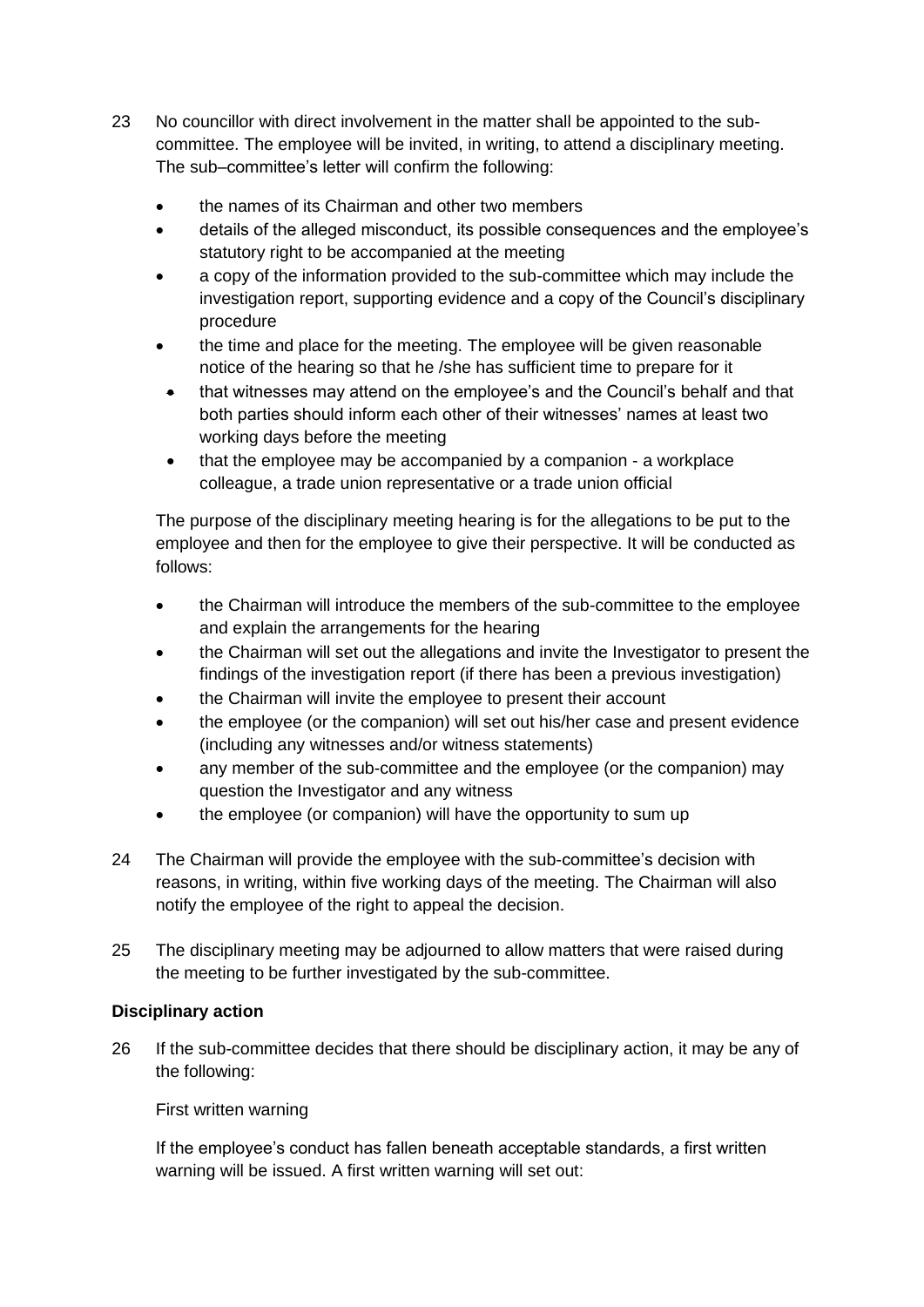- 23 No councillor with direct involvement in the matter shall be appointed to the subcommittee. The employee will be invited, in writing, to attend a disciplinary meeting. The sub–committee's letter will confirm the following:
	- the names of its Chairman and other two members
	- details of the alleged misconduct, its possible consequences and the employee's statutory right to be accompanied at the meeting
	- a copy of the information provided to the sub-committee which may include the investigation report, supporting evidence and a copy of the Council's disciplinary procedure
	- the time and place for the meeting. The employee will be given reasonable notice of the hearing so that he /she has sufficient time to prepare for it
	- that witnesses may attend on the employee's and the Council's behalf and that both parties should inform each other of their witnesses' names at least two working days before the meeting
	- that the employee may be accompanied by a companion a workplace colleague, a trade union representative or a trade union official

The purpose of the disciplinary meeting hearing is for the allegations to be put to the employee and then for the employee to give their perspective. It will be conducted as follows:

- the Chairman will introduce the members of the sub-committee to the employee and explain the arrangements for the hearing
- the Chairman will set out the allegations and invite the Investigator to present the findings of the investigation report (if there has been a previous investigation)
- the Chairman will invite the employee to present their account
- the employee (or the companion) will set out his/her case and present evidence (including any witnesses and/or witness statements)
- any member of the sub-committee and the employee (or the companion) may question the Investigator and any witness
- the employee (or companion) will have the opportunity to sum up
- 24 The Chairman will provide the employee with the sub-committee's decision with reasons, in writing, within five working days of the meeting. The Chairman will also notify the employee of the right to appeal the decision.
- 25 The disciplinary meeting may be adjourned to allow matters that were raised during the meeting to be further investigated by the sub-committee.

# **Disciplinary action**

26 If the sub-committee decides that there should be disciplinary action, it may be any of the following:

First written warning

If the employee's conduct has fallen beneath acceptable standards, a first written warning will be issued. A first written warning will set out: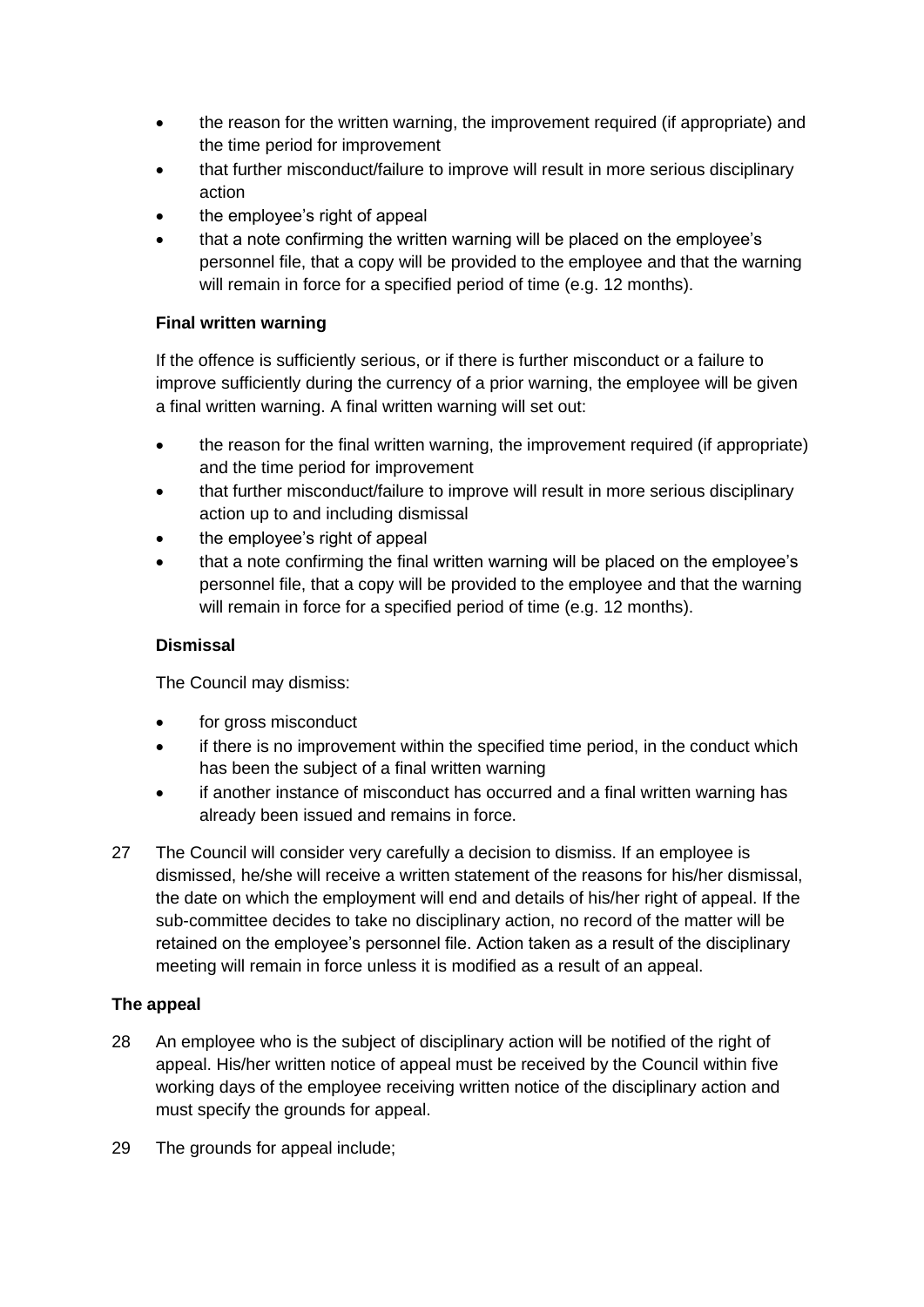- the reason for the written warning, the improvement required (if appropriate) and the time period for improvement
- that further misconduct/failure to improve will result in more serious disciplinary action
- the employee's right of appeal
- that a note confirming the written warning will be placed on the employee's personnel file, that a copy will be provided to the employee and that the warning will remain in force for a specified period of time (e.g. 12 months).

# **Final written warning**

If the offence is sufficiently serious, or if there is further misconduct or a failure to improve sufficiently during the currency of a prior warning, the employee will be given a final written warning. A final written warning will set out:

- the reason for the final written warning, the improvement required (if appropriate) and the time period for improvement
- that further misconduct/failure to improve will result in more serious disciplinary action up to and including dismissal
- the employee's right of appeal
- that a note confirming the final written warning will be placed on the employee's personnel file, that a copy will be provided to the employee and that the warning will remain in force for a specified period of time (e.g. 12 months).

# **Dismissal**

The Council may dismiss:

- for gross misconduct
- if there is no improvement within the specified time period, in the conduct which has been the subject of a final written warning
- if another instance of misconduct has occurred and a final written warning has already been issued and remains in force.
- 27 The Council will consider very carefully a decision to dismiss. If an employee is dismissed, he/she will receive a written statement of the reasons for his/her dismissal, the date on which the employment will end and details of his/her right of appeal. If the sub-committee decides to take no disciplinary action, no record of the matter will be retained on the employee's personnel file. Action taken as a result of the disciplinary meeting will remain in force unless it is modified as a result of an appeal.

# **The appeal**

- 28 An employee who is the subject of disciplinary action will be notified of the right of appeal. His/her written notice of appeal must be received by the Council within five working days of the employee receiving written notice of the disciplinary action and must specify the grounds for appeal.
- 29 The grounds for appeal include;